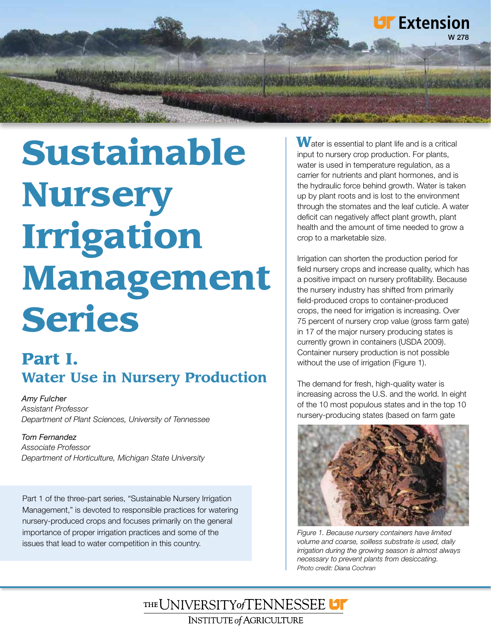

# Sustainable Nursery Irrigation Management Series

# Part I. **Water Use in Nursery Production**

*Amy Fulcher Assistant Professor Department of Plant Sciences, University of Tennessee*

#### *Tom Fernandez*

*Associate Professor Department of Horticulture, Michigan State University*

Part 1 of the three-part series, "Sustainable Nursery Irrigation Management," is devoted to responsible practices for watering nursery-produced crops and focuses primarily on the general importance of proper irrigation practices and some of the issues that lead to water competition in this country.

 $\mathbf W$ ater is essential to plant life and is a critical input to nursery crop production. For plants, water is used in temperature regulation, as a carrier for nutrients and plant hormones, and is the hydraulic force behind growth. Water is taken up by plant roots and is lost to the environment through the stomates and the leaf cuticle. A water deficit can negatively affect plant growth, plant health and the amount of time needed to grow a crop to a marketable size.

Irrigation can shorten the production period for field nursery crops and increase quality, which has a positive impact on nursery profitability. Because the nursery industry has shifted from primarily field-produced crops to container-produced crops, the need for irrigation is increasing. Over 75 percent of nursery crop value (gross farm gate) in 17 of the major nursery producing states is currently grown in containers (USDA 2009). Container nursery production is not possible without the use of irrigation (Figure 1).

The demand for fresh, high-quality water is increasing across the U.S. and the world. In eight of the 10 most populous states and in the top 10 nursery-producing states (based on farm gate



*Figure 1. Because nursery containers have limited volume and coarse, soilless substrate is used, daily irrigation during the growing season is almost always necessary to prevent plants from desiccating. Photo credit: Diana Cochran*

THE UNIVERSITY of TENNESSEE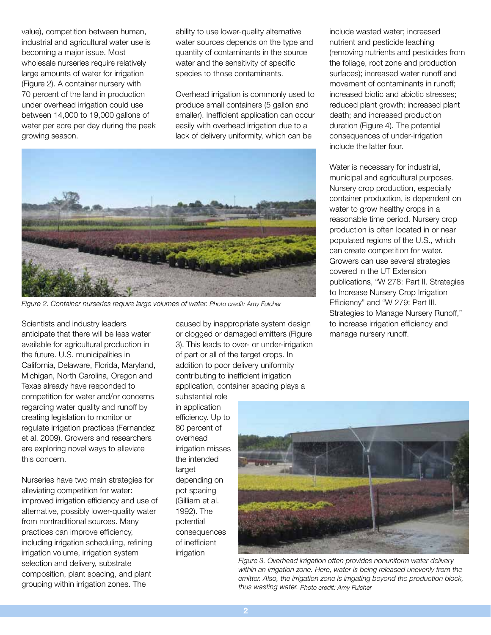value), competition between human, industrial and agricultural water use is becoming a major issue. Most wholesale nurseries require relatively large amounts of water for irrigation (Figure 2). A container nursery with 70 percent of the land in production under overhead irrigation could use between 14,000 to 19,000 gallons of water per acre per day during the peak growing season.

ability to use lower-quality alternative water sources depends on the type and quantity of contaminants in the source water and the sensitivity of specific species to those contaminants.

Overhead irrigation is commonly used to produce small containers (5 gallon and smaller). Inefficient application can occur easily with overhead irrigation due to a lack of delivery uniformity, which can be



*Figure 2. Container nurseries require large volumes of water. Photo credit: Amy Fulcher*

Scientists and industry leaders anticipate that there will be less water available for agricultural production in the future. U.S. municipalities in California, Delaware, Florida, Maryland, Michigan, North Carolina, Oregon and Texas already have responded to competition for water and/or concerns regarding water quality and runoff by creating legislation to monitor or regulate irrigation practices (Fernandez et al. 2009). Growers and researchers are exploring novel ways to alleviate this concern.

Nurseries have two main strategies for alleviating competition for water: improved irrigation efficiency and use of alternative, possibly lower-quality water from nontraditional sources. Many practices can improve efficiency, including irrigation scheduling, refining irrigation volume, irrigation system selection and delivery, substrate composition, plant spacing, and plant grouping within irrigation zones. The

caused by inappropriate system design or clogged or damaged emitters (Figure 3). This leads to over- or under-irrigation of part or all of the target crops. In addition to poor delivery uniformity contributing to inefficient irrigation application, container spacing plays a

substantial role in application efficiency. Up to 80 percent of overhead irrigation misses the intended target depending on pot spacing (Gilliam et al. 1992). The potential consequences of inefficient irrigation

include wasted water; increased nutrient and pesticide leaching (removing nutrients and pesticides from the foliage, root zone and production surfaces); increased water runoff and movement of contaminants in runoff; increased biotic and abiotic stresses; reduced plant growth; increased plant death; and increased production duration (Figure 4). The potential consequences of under-irrigation include the latter four.

Water is necessary for industrial, municipal and agricultural purposes. Nursery crop production, especially container production, is dependent on water to grow healthy crops in a reasonable time period. Nursery crop production is often located in or near populated regions of the U.S., which can create competition for water. Growers can use several strategies covered in the UT Extension publications, "W 278: Part II. Strategies to Increase Nursery Crop Irrigation Efficiency" and "W 279: Part III. Strategies to Manage Nursery Runoff," to increase irrigation efficiency and manage nursery runoff.



*Figure 3. Overhead irrigation often provides nonuniform water delivery within an irrigation zone. Here, water is being released unevenly from the emitter. Also, the irrigation zone is irrigating beyond the production block, thus wasting water. Photo credit: Amy Fulcher*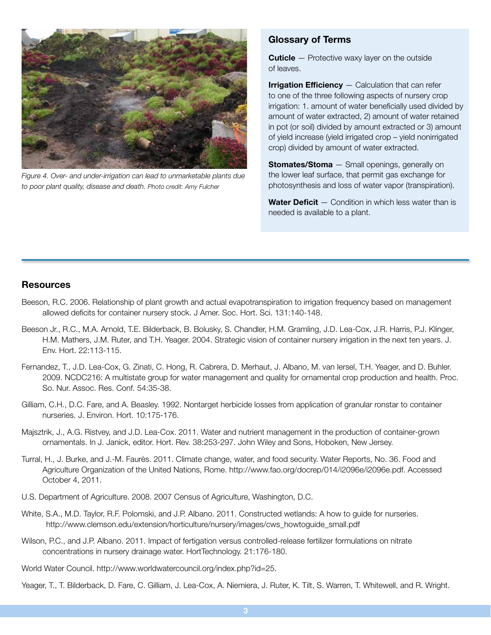

*Figure 4. Over- and under-irrigation can lead to unmarketable plants due to poor plant quality, disease and death. Photo credit: Amy Fulcher*

#### Glossary of Terms

**Cuticle** – Protective waxy layer on the outside of leaves.

**Irrigation Efficiency**  $-$  Calculation that can refer to one of the three following aspects of nursery crop irrigation: 1. amount of water beneficially used divided by amount of water extracted, 2) amount of water retained in pot (or soil) divided by amount extracted or 3) amount of yield increase (yield irrigated crop – yield nonirrigated crop) divided by amount of water extracted.

**Stomates/Stoma** - Small openings, generally on the lower leaf surface, that permit gas exchange for photosynthesis and loss of water vapor (transpiration).

**Water Deficit**  $-$  Condition in which less water than is needed is available to a plant.

#### **Resources**

- Beeson, R.C. 2006. Relationship of plant growth and actual evapotranspiration to irrigation frequency based on management allowed deficits for container nursery stock. J Amer. Soc. Hort. Sci. 131:140-148.
- Beeson Jr., R.C., M.A. Arnold, T.E. Bilderback, B. Bolusky, S. Chandler, H.M. Gramling, J.D. Lea-Cox, J.R. Harris, P.J. Klinger, H.M. Mathers, J.M. Ruter, and T.H. Yeager. 2004. Strategic vision of container nursery irrigation in the next ten years. J. Env. Hort. 22:113-115.
- Fernandez, T., J.D. Lea-Cox, G. Zinati, C. Hong, R. Cabrera, D. Merhaut, J. Albano, M. van Iersel, T.H. Yeager, and D. Buhler. 2009. NCDC216: A multistate group for water management and quality for ornamental crop production and health. Proc. So. Nur. Assoc. Res. Conf. 54:35-38.
- Gilliam, C.H., D.C. Fare, and A. Beasley. 1992. Nontarget herbicide losses from application of granular ronstar to container nurseries. J. Environ. Hort. 10:175-176.
- Majsztrik, J., A.G. Ristvey, and J.D. Lea-Cox. 2011. Water and nutrient management in the production of container-grown ornamentals. In J. Janick, editor. Hort. Rev. 38:253-297. John Wiley and Sons, Hoboken, New Jersey.
- Turral, H., J. Burke, and J.-M. Faurès. 2011. Climate change, water, and food security. Water Reports, No. 36. Food and Agriculture Organization of the United Nations, Rome. http://www.fao.org/docrep/014/i2096e/i2096e.pdf. Accessed October 4, 2011.
- U.S. Department of Agriculture. 2008. 2007 Census of Agriculture, Washington, D.C.
- White, S.A., M.D. Taylor, R.F. Polomski, and J.P. Albano. 2011. Constructed wetlands: A how to guide for nurseries. http://www.clemson.edu/extension/horticulture/nursery/images/cws\_howtoguide\_small.pdf
- Wilson, P.C., and J.P. Albano. 2011. Impact of fertigation versus controlled-release fertilizer formulations on nitrate concentrations in nursery drainage water. HortTechnology. 21:176-180.
- World Water Council. http://www.worldwatercouncil.org/index.php?id=25.
- Yeager, T., T. Bilderback, D. Fare, C. Gilliam, J. Lea-Cox, A. Niemiera, J. Ruter, K. Tilt, S. Warren, T. Whitewell, and R. Wright.